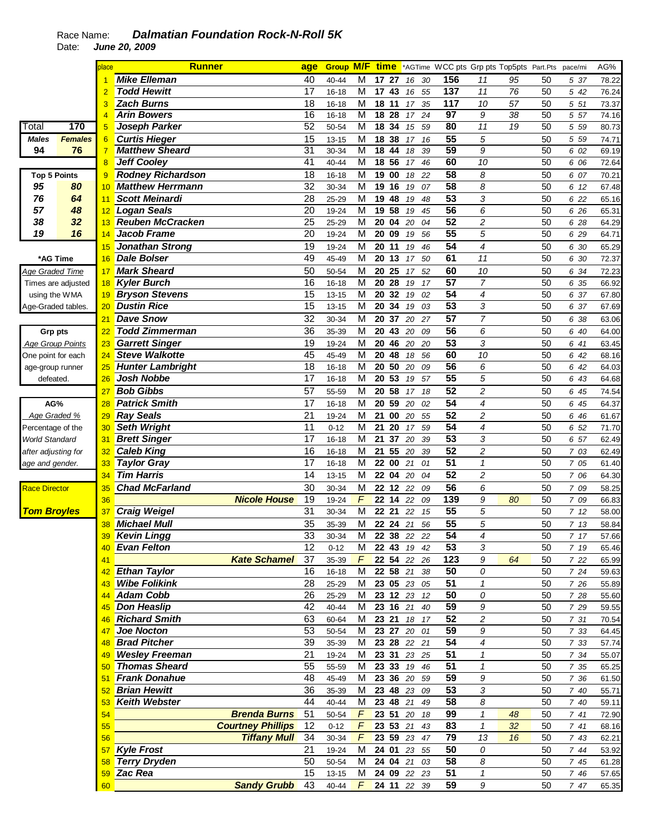## Race Name: **Dalmatian Foundation Rock-N-Roll 5K**  Date: **June 20, 2009**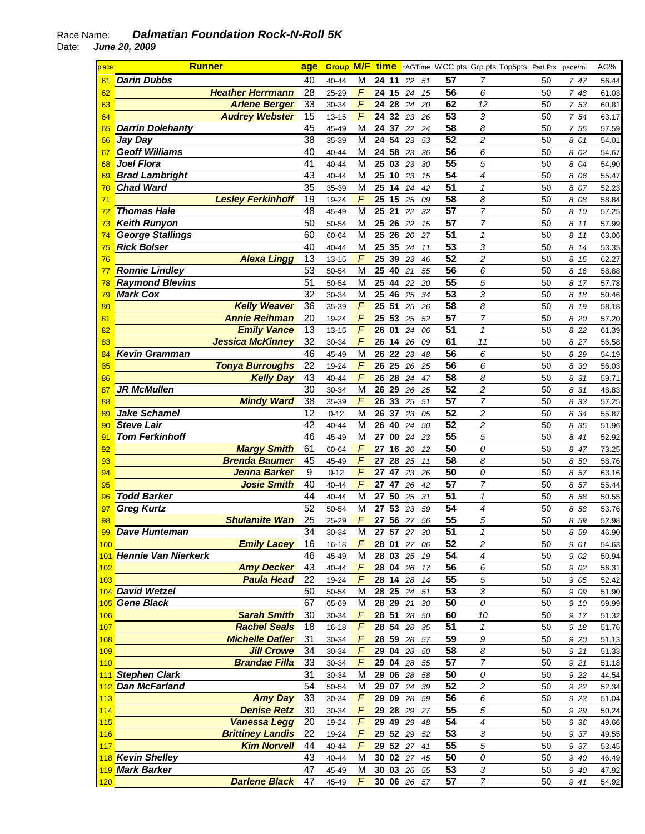## Race Name: **Dalmatian Foundation Rock-N-Roll 5K**  Date: **June 20, 2009**

À.

| place | <b>Runner</b>           |                          | age              | <b>Group M/F</b> |                | <u>time</u> |    |          |                       | *AGTime WCC pts Grp pts Top5pts Part.Pts |    | pace/mi |       | AG%   |
|-------|-------------------------|--------------------------|------------------|------------------|----------------|-------------|----|----------|-----------------------|------------------------------------------|----|---------|-------|-------|
| 61    | <b>Darin Dubbs</b>      |                          | 40               | 40-44            | M              | 24 11       |    | 22<br>51 | 57                    | 7                                        | 50 |         | 747   | 56.44 |
| 62    |                         | <b>Heather Herrmann</b>  | 28               | 25-29            | $\overline{F}$ | 24          | 15 | 24<br>15 | 56                    | 6                                        | 50 |         | 7 48  | 61.03 |
| 63    |                         | <b>Arlene Berger</b>     | 33               | 30-34            | $\overline{F}$ | 28<br>24    |    | 24<br>20 | 62                    | 12                                       | 50 |         | 7 53  | 60.81 |
| 64    |                         | <b>Audrey Webster</b>    | 15               | $13 - 15$        | $\overline{F}$ | 24 32       |    | 26<br>23 | $\overline{53}$       | 3                                        | 50 |         | 7 54  | 63.17 |
| 65    | <b>Darrin Dolehanty</b> |                          | 45               | 45-49            | M              | 24<br>37    |    | 22<br>24 | 58                    | 8                                        | 50 |         | 7 55  | 57.59 |
| 66    | <b>Jay Day</b>          |                          | 38               | 35-39            | M              | 24          | 54 | 23<br>53 | 52                    | 2                                        | 50 |         | 8 01  | 54.01 |
| 67    | <b>Geoff Williams</b>   |                          | 40               | 40-44            | M              | 24          | 58 | 23       | 56<br>36              | 6                                        | 50 |         | 8 02  | 54.67 |
| 68    | <b>Joel Flora</b>       |                          | 41               | $40 - 44$        | M              | 25          | 03 | 23       | $\overline{55}$<br>30 | 5                                        | 50 |         | 8 04  | 54.90 |
| 69    | <b>Brad Lambright</b>   |                          | 43               | 40-44            | M              | 25          | 10 | 23<br>15 | $\overline{54}$       | 4                                        | 50 |         | 8 0 6 | 55.47 |
| 70    | <b>Chad Ward</b>        |                          | 35               | 35-39            | M              | 25          | 14 | 24<br>42 | $\overline{51}$       | $\mathcal I$                             | 50 |         | 8 07  | 52.23 |
|       |                         | <b>Lesley Ferkinhoff</b> |                  |                  | $\overline{F}$ |             |    |          | 58                    |                                          |    |         |       |       |
| 71    |                         |                          | 19               | 19-24            |                | 25<br>15    |    | 25<br>09 |                       | 8                                        | 50 |         | 8 08  | 58.84 |
| 72    | <b>Thomas Hale</b>      |                          | 48               | 45-49            | M              | 25<br>21    |    | 22<br>32 | 57                    | $\overline{7}$                           | 50 |         | 8 10  | 57.25 |
| 73    | <b>Keith Runyon</b>     |                          | 50               | 50-54            | M              | 25<br>26    |    | 22       | 57<br>15              | $\overline{7}$                           | 50 |         | 8 11  | 57.99 |
| 74    | <b>George Stallings</b> |                          | 60               | 60-64            | M              | 25          | 26 | 20<br>27 | 51                    | $\mathcal I$                             | 50 |         | 8 11  | 63.06 |
| 75    | <b>Rick Bolser</b>      |                          | 40               | 40-44            | M              | 25          | 35 | 24<br>11 | 53                    | 3                                        | 50 |         | 8 14  | 53.35 |
| 76    |                         | <b>Alexa Lingg</b>       | 13               | $13 - 15$        | F              | 25          | 39 | 23<br>46 | 52                    | $\overline{c}$                           | 50 |         | 8 15  | 62.27 |
| 77    | <b>Ronnie Lindley</b>   |                          | 53               | 50-54            | M              | 25          | 40 | 21<br>55 | 56                    | 6                                        | 50 |         | 8 16  | 58.88 |
| 78    | <b>Raymond Blevins</b>  |                          | 51               | 50-54            | M              | 25          | 44 | 22<br>20 | 55                    | 5                                        | 50 |         | 8 17  | 57.78 |
| 79    | <b>Mark Cox</b>         |                          | $\overline{32}$  | 30-34            | M              | 25          | 46 | 25<br>34 | $\overline{53}$       | 3                                        | 50 |         | 8 18  | 50.46 |
| 80    |                         | <b>Kelly Weaver</b>      | $\overline{36}$  | 35-39            | $\overline{F}$ | 51<br>25    |    | 25<br>26 | $\overline{58}$       | 8                                        | 50 |         | 8 19  | 58.18 |
| 81    |                         | <b>Annie Reihman</b>     | 20               | 19-24            | $\overline{F}$ | 53<br>25    |    | 52<br>25 | 57                    | 7                                        | 50 |         | 8 20  | 57.20 |
| 82    |                         | <b>Emily Vance</b>       | 13               | $13 - 15$        | $\overline{F}$ | 26<br>01    |    | 24       | $\overline{51}$<br>06 | $\mathbf{1}$                             | 50 |         | 8 2 2 | 61.39 |
| 83    |                         | <b>Jessica McKinney</b>  | $\overline{32}$  | 30-34            | F              | 14<br>26    |    | 26       | 61<br>09              | 11                                       | 50 |         | 8 27  | 56.58 |
| 84    | <b>Kevin Gramman</b>    |                          | 46               | 45-49            | M              | 26 22 23    |    | 48       | $\overline{56}$       | 6                                        | 50 |         | 8 2 9 | 54.19 |
| 85    |                         | <b>Tonya Burroughs</b>   | 22               | 19-24            | $\overline{F}$ | 26<br>25    |    | 26<br>25 | 56                    | 6                                        | 50 |         | 8 30  | 56.03 |
| 86    |                         | <b>Kelly Day</b>         | 43               | $40 - 44$        | $\overline{F}$ | 26 28       |    | 24<br>47 | $\overline{58}$       | 8                                        | 50 |         | 8 31  | 59.71 |
| 87    | <b>JR McMullen</b>      |                          | 30               | 30-34            | M              | 26<br>29    |    | 25<br>26 | $\overline{52}$       | $\overline{c}$                           | 50 |         | 8 31  | 48.83 |
| 88    |                         | <b>Mindy Ward</b>        | 38               | 35-39            | $\overline{F}$ | 26 33       |    | 25<br>51 | 57                    | $\overline{7}$                           | 50 |         | 8 33  | 57.25 |
| 89    | <b>Jake Schamel</b>     |                          | 12               | $0 - 12$         | M              | 26 37       |    | 23<br>05 | 52                    | $\overline{\mathbf{c}}$                  | 50 |         | 8 34  | 55.87 |
| 90    | <b>Steve Lair</b>       |                          | 42               | 40-44            | M              | 26<br>40    |    | 24       | 52<br>50              | $\overline{c}$                           | 50 |         | 8 35  | 51.96 |
|       | <b>Tom Ferkinhoff</b>   |                          | 46               | 45-49            | M              | 27          | 00 | 24       | 55                    | 5                                        | 50 |         |       | 52.92 |
| 91    |                         |                          | 61               |                  | F              |             |    | 23       | 50                    | 0                                        |    |         | 8 41  |       |
| 92    |                         | <b>Margy Smith</b>       |                  | 60-64            | F              | 27          | 16 | 20       | 12<br>$\overline{58}$ |                                          | 50 |         | 8 47  | 73.25 |
| 93    |                         | <b>Brenda Baumer</b>     | 45               | 45-49            |                | 27          | 28 | 25<br>11 |                       | 8                                        | 50 |         | 8 50  | 58.76 |
| 94    |                         | Jenna Barker             | $\boldsymbol{9}$ | $0 - 12$         | F              | 47<br>27    |    | 23<br>26 | $\overline{50}$       | 0                                        | 50 |         | 8 57  | 63.16 |
| 95    |                         | <b>Josie Smith</b>       | 40               | 40-44            | F              | 27          | 47 | 26<br>42 | $\overline{57}$       | 7                                        | 50 |         | 8 57  | 55.44 |
| 96    | <b>Todd Barker</b>      |                          | 44               | 40-44            | M              | 50<br>27    |    | 25<br>31 | $\overline{51}$       | $\mathbf{1}$                             | 50 |         | 8 58  | 50.55 |
| 97    | <b>Greg Kurtz</b>       |                          | 52               | 50-54            | M              | 27<br>53    |    | 23<br>59 | 54                    | 4                                        | 50 |         | 8 58  | 53.76 |
| 98    |                         | <b>Shulamite Wan</b>     | 25               | 25-29            | $\overline{F}$ | 27          | 56 | 27<br>56 | 55                    | 5                                        | 50 |         | 8 59  | 52.98 |
| 99    | <b>Dave Hunteman</b>    |                          | 34               | 30-34            | M              | 57<br>27    |    | 27       | 51<br>30              | $\mathbf{1}$                             | 50 |         | 8 5 9 | 46.90 |
| 100   |                         | <b>Emily Lacey</b>       | 16               | 16-18            | F              | 28 01 27 06 |    |          | 52                    | 2                                        | 50 |         | 9 01  | 54.63 |
|       | 101 Hennie Van Nierkerk |                          | 46               | 45-49            | М              | 28 03 25 19 |    |          | 54                    | 4                                        | 50 |         | 9 02  | 50.94 |
| 102   |                         | <b>Amy Decker</b>        | 43               | 40-44            | F              | 28 04 26 17 |    |          | 56                    | 6                                        | 50 |         | 9 02  | 56.31 |
| 103   |                         | <b>Paula Head</b>        | 22               | 19-24            | F              | 28 14 28 14 |    |          | 55                    | 5                                        | 50 |         | 9 05  | 52.42 |
|       | 104 David Wetzel        |                          | 50               | 50-54            | M              | 28 25 24 51 |    |          | 53                    | 3                                        | 50 |         | 9 09  | 51.90 |
|       | 105 Gene Black          |                          | 67               | 65-69            | M              | 28 29 21    |    | 30       | 50                    | 0                                        | 50 |         | 9 10  | 59.99 |
| 106   |                         | <b>Sarah Smith</b>       | 30               | 30-34            | $\overline{F}$ | 28 51       |    | 28 50    | 60                    | 10                                       | 50 |         | 9 17  | 51.32 |
| 107   |                         | <b>Rachel Seals</b>      | 18               | $16 - 18$        | F              | 28 54 28    |    | 35       | 51                    | $\mathbf{1}$                             | 50 |         | 9 18  | 51.76 |
| 108   |                         | <b>Michelle Dafler</b>   | 31               | 30-34            | F              | 28 59 28 57 |    |          | 59                    | 9                                        | 50 |         | 9 20  | 51.13 |
| 109   |                         | <b>Jill Crowe</b>        | 34               | 30-34            | F              | 29 04 28 50 |    |          | 58                    | 8                                        | 50 |         | 9 21  | 51.33 |
| 110   |                         | <b>Brandae Filla</b>     | 33               | $30 - 34$        | $\digamma$     | 29 04 28 55 |    |          | $\overline{57}$       | $\overline{7}$                           | 50 |         | 9 21  | 51.18 |
|       | 111 Stephen Clark       |                          | 31               | 30-34            | M              | 29 06 28 58 |    |          | 50                    | 0                                        | 50 |         | 9 2 2 | 44.54 |
|       | 112 Dan McFarland       |                          | 54               | 50-54            | M              | 29 07 24 39 |    |          | 52                    | $\overline{c}$                           | 50 |         | 9 2 2 | 52.34 |
| 113   |                         | <b>Amy Day</b>           | 33               | 30-34            | $\digamma$     | 29 09 28 59 |    |          | 56                    | 6                                        | 50 |         | 9 23  | 51.04 |
| 114   |                         | <b>Denise Retz</b>       | 30               | 30-34            | $\digamma$     | 29 28 29 27 |    |          | 55                    | 5                                        | 50 |         | 9 2 9 | 50.24 |
| 115   |                         | <b>Vanessa Legg</b>      | 20               | 19-24            | $\digamma$     | 29 49 29    |    | 48       | 54                    | 4                                        | 50 |         |       |       |
|       |                         | <b>Brittiney Landis</b>  | 22               |                  | F              | 29 52 29    |    |          | 53                    |                                          |    |         | 9 36  | 49.66 |
| 116   |                         | <b>Kim Norvell</b>       |                  | 19-24            |                |             |    | 52       |                       | 3                                        | 50 |         | 9 37  | 49.55 |
| 117   |                         |                          | 44               | 40-44            | F              | 29 52 27 41 |    |          | 55                    | 5                                        | 50 |         | 9 37  | 53.45 |
|       | 118 Kevin Shelley       |                          | 43               | 40-44            | м              | 30 02 27 45 |    |          | 50                    | 0                                        | 50 |         | 9 40  | 46.49 |
|       | 119 Mark Barker         |                          | 47               | 45-49            | М              | 30 03 26 55 |    |          | 53                    | 3                                        | 50 |         | 9 40  | 47.92 |
| 120   |                         | <b>Darlene Black</b>     | 47               | 45-49            | F              | 30 06 26 57 |    |          | 57                    | $\overline{7}$                           | 50 |         | 9 41  | 54.92 |